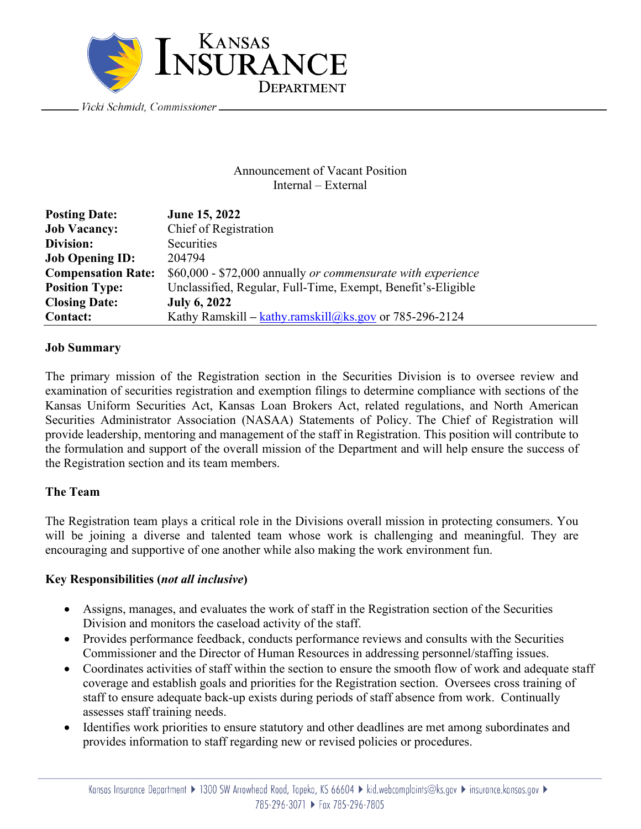

Vicki Schmidt, Commissioner \_

### Announcement of Vacant Position Internal – External

| <b>Posting Date:</b>      | June 15, 2022                                                |
|---------------------------|--------------------------------------------------------------|
| <b>Job Vacancy:</b>       | Chief of Registration                                        |
| Division:                 | Securities                                                   |
| <b>Job Opening ID:</b>    | 204794                                                       |
| <b>Compensation Rate:</b> | \$60,000 - \$72,000 annually or commensurate with experience |
| <b>Position Type:</b>     | Unclassified, Regular, Full-Time, Exempt, Benefit's-Eligible |
| <b>Closing Date:</b>      | <b>July 6, 2022</b>                                          |
| <b>Contact:</b>           | Kathy Ramskill – $kathy$ ramskill@ks.gov or 785-296-2124     |

## **Job Summary**

The primary mission of the Registration section in the Securities Division is to oversee review and examination of securities registration and exemption filings to determine compliance with sections of the Kansas Uniform Securities Act, Kansas Loan Brokers Act, related regulations, and North American Securities Administrator Association (NASAA) Statements of Policy. The Chief of Registration will provide leadership, mentoring and management of the staff in Registration. This position will contribute to the formulation and support of the overall mission of the Department and will help ensure the success of the Registration section and its team members.

# **The Team**

The Registration team plays a critical role in the Divisions overall mission in protecting consumers. You will be joining a diverse and talented team whose work is challenging and meaningful. They are encouraging and supportive of one another while also making the work environment fun.

### **Key Responsibilities (***not all inclusive***)**

- Assigns, manages, and evaluates the work of staff in the Registration section of the Securities Division and monitors the caseload activity of the staff.
- Provides performance feedback, conducts performance reviews and consults with the Securities Commissioner and the Director of Human Resources in addressing personnel/staffing issues.
- Coordinates activities of staff within the section to ensure the smooth flow of work and adequate staff coverage and establish goals and priorities for the Registration section. Oversees cross training of staff to ensure adequate back-up exists during periods of staff absence from work. Continually assesses staff training needs.
- Identifies work priorities to ensure statutory and other deadlines are met among subordinates and provides information to staff regarding new or revised policies or procedures.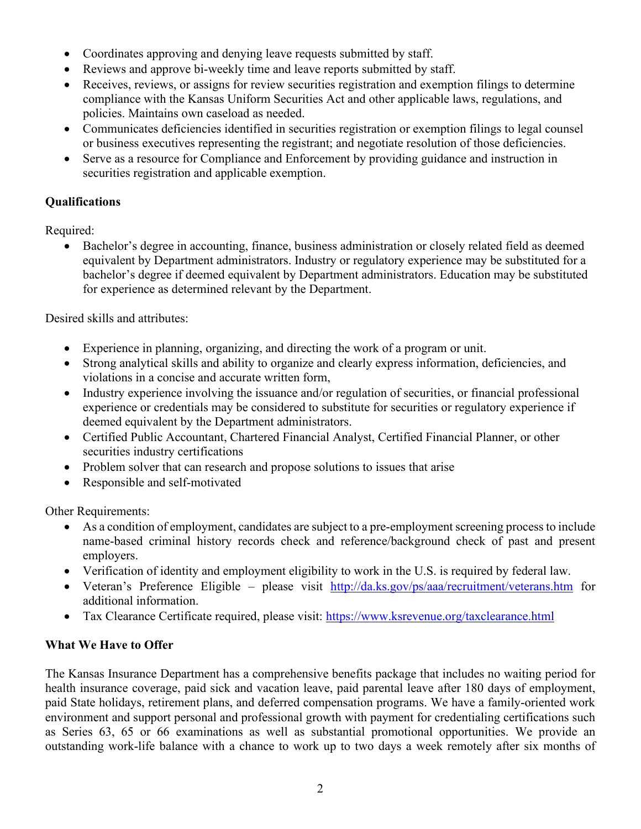- Coordinates approving and denying leave requests submitted by staff.
- Reviews and approve bi-weekly time and leave reports submitted by staff.
- Receives, reviews, or assigns for review securities registration and exemption filings to determine compliance with the Kansas Uniform Securities Act and other applicable laws, regulations, and policies. Maintains own caseload as needed.
- Communicates deficiencies identified in securities registration or exemption filings to legal counsel or business executives representing the registrant; and negotiate resolution of those deficiencies.
- Serve as a resource for Compliance and Enforcement by providing guidance and instruction in securities registration and applicable exemption.

# **Qualifications**

Required:

• Bachelor's degree in accounting, finance, business administration or closely related field as deemed equivalent by Department administrators. Industry or regulatory experience may be substituted for a bachelor's degree if deemed equivalent by Department administrators. Education may be substituted for experience as determined relevant by the Department.

Desired skills and attributes:

- Experience in planning, organizing, and directing the work of a program or unit.
- Strong analytical skills and ability to organize and clearly express information, deficiencies, and violations in a concise and accurate written form,
- Industry experience involving the issuance and/or regulation of securities, or financial professional experience or credentials may be considered to substitute for securities or regulatory experience if deemed equivalent by the Department administrators.
- Certified Public Accountant, Chartered Financial Analyst, Certified Financial Planner, or other securities industry certifications
- Problem solver that can research and propose solutions to issues that arise
- Responsible and self-motivated

Other Requirements:

- As a condition of employment, candidates are subject to a pre-employment screening process to include name-based criminal history records check and reference/background check of past and present employers.
- Verification of identity and employment eligibility to work in the U.S. is required by federal law.
- Veteran's Preference Eligible please visit <http://da.ks.gov/ps/aaa/recruitment/veterans.htm> for additional information.
- Tax Clearance Certificate required, please visit:<https://www.ksrevenue.org/taxclearance.html>

# **What We Have to Offer**

The Kansas Insurance Department has a comprehensive benefits package that includes no waiting period for health insurance coverage, paid sick and vacation leave, paid parental leave after 180 days of employment, paid State holidays, retirement plans, and deferred compensation programs. We have a family-oriented work environment and support personal and professional growth with payment for credentialing certifications such as Series 63, 65 or 66 examinations as well as substantial promotional opportunities. We provide an outstanding work-life balance with a chance to work up to two days a week remotely after six months of